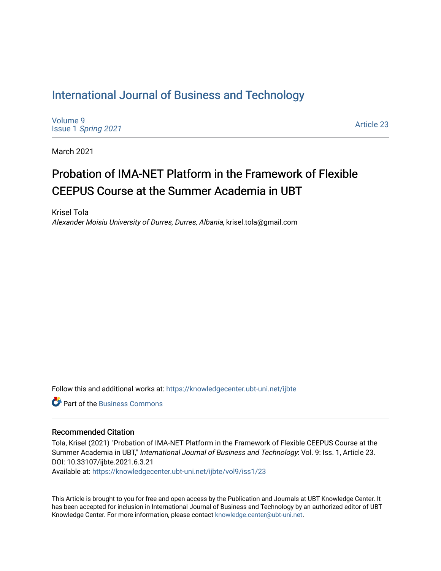## [International Journal of Business and Technology](https://knowledgecenter.ubt-uni.net/ijbte)

[Volume 9](https://knowledgecenter.ubt-uni.net/ijbte/vol9) Issue 1 [Spring 2021](https://knowledgecenter.ubt-uni.net/ijbte/vol9/iss1) 

[Article 23](https://knowledgecenter.ubt-uni.net/ijbte/vol9/iss1/23) 

March 2021

# Probation of IMA-NET Platform in the Framework of Flexible CEEPUS Course at the Summer Academia in UBT

Krisel Tola Alexander Moisiu University of Durres, Durres, Albania, krisel.tola@gmail.com

Follow this and additional works at: [https://knowledgecenter.ubt-uni.net/ijbte](https://knowledgecenter.ubt-uni.net/ijbte?utm_source=knowledgecenter.ubt-uni.net%2Fijbte%2Fvol9%2Fiss1%2F23&utm_medium=PDF&utm_campaign=PDFCoverPages) 

**C** Part of the [Business Commons](https://network.bepress.com/hgg/discipline/622?utm_source=knowledgecenter.ubt-uni.net%2Fijbte%2Fvol9%2Fiss1%2F23&utm_medium=PDF&utm_campaign=PDFCoverPages)

#### Recommended Citation

Tola, Krisel (2021) "Probation of IMA-NET Platform in the Framework of Flexible CEEPUS Course at the Summer Academia in UBT," International Journal of Business and Technology: Vol. 9: Iss. 1, Article 23. DOI: 10.33107/ijbte.2021.6.3.21

Available at: [https://knowledgecenter.ubt-uni.net/ijbte/vol9/iss1/23](https://knowledgecenter.ubt-uni.net/ijbte/vol9/iss1/23?utm_source=knowledgecenter.ubt-uni.net%2Fijbte%2Fvol9%2Fiss1%2F23&utm_medium=PDF&utm_campaign=PDFCoverPages) 

This Article is brought to you for free and open access by the Publication and Journals at UBT Knowledge Center. It has been accepted for inclusion in International Journal of Business and Technology by an authorized editor of UBT Knowledge Center. For more information, please contact [knowledge.center@ubt-uni.net](mailto:knowledge.center@ubt-uni.net).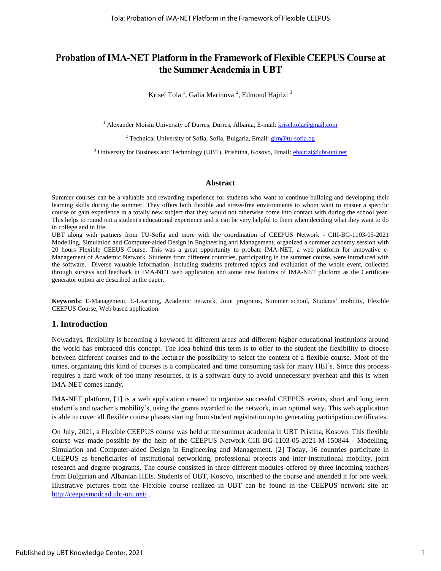## **Probation of IMA-NET Platform in the Framework of Flexible CEEPUS Course at the Summer Academia in UBT**

Krisel Tola<sup>1</sup>, Galia Marinova<sup>2</sup>, Edmond Hajrizi<sup>3</sup>

<sup>1</sup> Alexander Moisiu University of Durres, Durres, Albania, E-mail[: krisel.tola@gmail.com](mailto:krisel.tola@gmail.com)

<sup>2</sup> Technical University of Sofia, Sofia, Bulgaria, Email: **gim@tu-sofia.bg** 

<sup>3</sup> University for Business and Technology (UBT), Prishtina, Kosovo, Email: *ehajrizi@ubt-uni.net* 

#### **Abstract**

Summer courses can be a valuable and rewarding experience for students who want to continue building and developing their learning skills during the summer. They offers both flexible and stress-free environments to whom want to master a specific course or gain experience in a totally new subject that they would not otherwise come into contact with during the school year. This helps to round out a student's educational experience and it can be very helpful to them when deciding what they want to do in college and in life.

UBT along with partners from TU-Sofia and more with the coordination of CEEPUS Network - CIII-BG-1103-05-2021 Modelling, Simulation and Computer-aided Design in Engineering and Management, organized a summer academy session with 20 hours Flexible CEEUS Course. This was a great opportunity to probate IMA-NET, a web platform for innovative e-Management of Academic Network. Students from different countries, participating in the summer course, were introduced with the software. Diverse valuable information, including students preferred topics and evaluation of the whole event, collected through surveys and feedback in IMA-NET web application and some new features of IMA-NET platform as the Certificate generator option are described in the paper.

**Keywords:** E-Management, E-Learning, Academic network, Joint programs, Summer school, Students' mobility, Flexible CEEPUS Course, Web based application.

#### **1. Introduction**

Nowadays, flexibility is becoming a keyword in different areas and different higher educational institutions around the world has embraced this concept. The idea behind this term is to offer to the student the flexibility to choose between different courses and to the lecturer the possibility to select the content of a flexible course. Most of the times, organizing this kind of courses is a complicated and time consuming task for many HEI`s. Since this process requires a hard work of too many resources, it is a software duty to avoid unnecessary overheat and this is when IMA-NET comes handy.

IMA-NET platform, [1] is a web application created to organize successful CEEPUS events, short and long term student's and teacher's mobility's, using the grants awarded to the network, in an optimal way. This web application is able to cover all flexible course phases starting from student registration up to generating participation certificates.

On July, 2021, a Flexible CEEPUS course was held at the summer academia in UBT Pristina, Kosovo. This flexible course was made possible by the help of the CEEPUS Network CIII-BG-1103-05-2021-M-150844 - Modelling, Simulation and Computer-aided Design in Engineering and Management. [2] Today, 16 countries participate in CEEPUS as beneficiaries of institutional networking, professional projects and inter-institutional mobility, joint research and degree programs. The course consisted in three different modules offered by three incoming teachers from Bulgarian and Albanian HEIs. Students of UBT, Kosovo, inscribed to the course and attended it for one week. Illustrative pictures from the Flexible course realized in UBT can be found in the CEEPUS network site at: <http://ceepusmodcad.ubt-uni.net/>.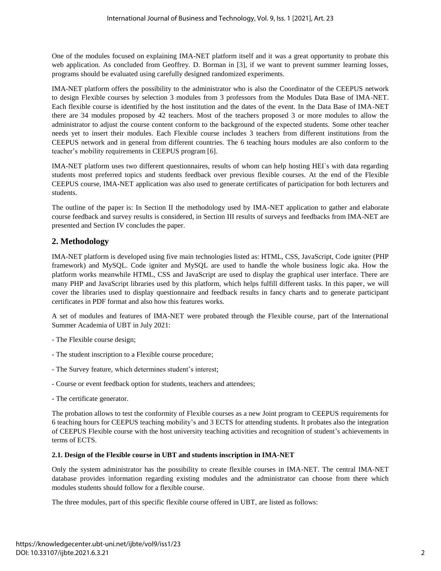One of the modules focused on explaining IMA-NET platform itself and it was a great opportunity to probate this web application. As concluded from Geoffrey. D. Borman in [3], if we want to prevent summer learning losses, programs should be evaluated using carefully designed randomized experiments.

IMA-NET platform offers the possibility to the administrator who is also the Coordinator of the CEEPUS network to design Flexible courses by selection 3 modules from 3 professors from the Modules Data Base of IMA-NET. Each flexible course is identified by the host institution and the dates of the event. In the Data Base of IMA-NET there are 34 modules proposed by 42 teachers. Most of the teachers proposed 3 or more modules to allow the administrator to adjust the course content conform to the background of the expected students. Some other teacher needs yet to insert their modules. Each Flexible course includes 3 teachers from different institutions from the CEEPUS network and in general from different countries. The 6 teaching hours modules are also conform to the teacher's mobility requirements in CEEPUS program [6].

IMA-NET platform uses two different questionnaires, results of whom can help hosting HEI`s with data regarding students most preferred topics and students feedback over previous flexible courses. At the end of the Flexible CEEPUS course, IMA-NET application was also used to generate certificates of participation for both lecturers and students.

The outline of the paper is: In Section II the methodology used by IMA-NET application to gather and elaborate course feedback and survey results is considered, in Section III results of surveys and feedbacks from IMA-NET are presented and Section IV concludes the paper.

## **2. Methodology**

IMA-NET platform is developed using five main technologies listed as: HTML, CSS, JavaScript, Code igniter (PHP framework) and MySQL. Code igniter and MySQL are used to handle the whole business logic aka. How the platform works meanwhile HTML, CSS and JavaScript are used to display the graphical user interface. There are many PHP and JavaScript libraries used by this platform, which helps fulfill different tasks. In this paper, we will cover the libraries used to display questionnaire and feedback results in fancy charts and to generate participant certificates in PDF format and also how this features works.

A set of modules and features of IMA-NET were probated through the Flexible course, part of the International Summer Academia of UBT in July 2021:

- The Flexible course design;
- The student inscription to a Flexible course procedure;
- The Survey feature, which determines student's interest;
- Course or event feedback option for students, teachers and attendees;
- The certificate generator.

The probation allows to test the conformity of Flexible courses as a new Joint program to CEEPUS requirements for 6 teaching hours for CEEPUS teaching mobility's and 3 ECTS for attending students. It probates also the integration of CEEPUS Flexible course with the host university teaching activities and recognition of student's achievements in terms of ECTS.

#### **2.1. Design of the Flexible course in UBT and students inscription in IMA-NET**

Only the system administrator has the possibility to create flexible courses in IMA-NET. The central IMA-NET database provides information regarding existing modules and the administrator can choose from there which modules students should follow for a flexible course.

The three modules, part of this specific flexible course offered in UBT, are listed as follows: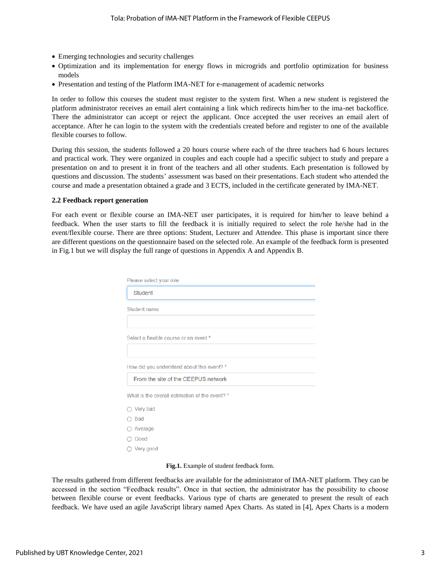- Emerging technologies and security challenges
- Optimization and its implementation for energy flows in microgrids and portfolio optimization for business models
- Presentation and testing of the Platform IMA-NET for e-management of academic networks

In order to follow this courses the student must register to the system first. When a new student is registered the platform administrator receives an email alert containing a link which redirects him/her to the ima-net backoffice. There the administrator can accept or reject the applicant. Once accepted the user receives an email alert of acceptance. After he can login to the system with the credentials created before and register to one of the available flexible courses to follow.

During this session, the students followed a 20 hours course where each of the three teachers had 6 hours lectures and practical work. They were organized in couples and each couple had a specific subject to study and prepare a presentation on and to present it in front of the teachers and all other students. Each presentation is followed by questions and discussion. The students' assessment was based on their presentations. Each student who attended the course and made a presentation obtained a grade and 3 ECTS, included in the certificate generated by IMA-NET.

#### **2.2 Feedback report generation**

For each event or flexible course an IMA-NET user participates, it is required for him/her to leave behind a feedback. When the user starts to fill the feedback it is initially required to select the role he/she had in the event/flexible course. There are three options: Student, Lecturer and Attendee. This phase is important since there are different questions on the questionnaire based on the selected role. An example of the feedback form is presented in Fig.1 but we will display the full range of questions in Appendix A and Appendix B.

| Please select your role                        |  |
|------------------------------------------------|--|
| <b>Student</b>                                 |  |
| Student name                                   |  |
|                                                |  |
| Select a flexible course or an event *         |  |
|                                                |  |
| How did you understand about this event? *     |  |
| From the site of the CEEPUS network            |  |
| What is the overall estimation of the event? * |  |
| $\bigcirc$ Very bad                            |  |
| <b>Bad</b>                                     |  |
| Average                                        |  |
| Good                                           |  |
| $\bigcirc$ Very good                           |  |

**Fig.1.** Example of student feedback form.

The results gathered from different feedbacks are available for the administrator of IMA-NET platform. They can be accessed in the section "Feedback results". Once in that section, the administrator has the possibility to choose between flexible course or event feedbacks. Various type of charts are generated to present the result of each feedback. We have used an agile JavaScript library named Apex Charts. As stated in [4], Apex Charts is a modern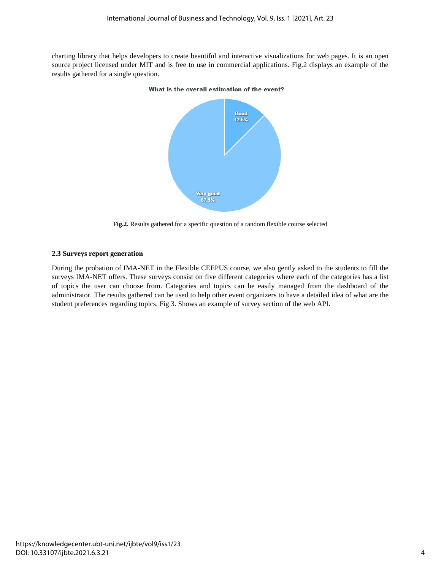charting library that helps developers to create beautiful and interactive visualizations for web pages. It is an open source project licensed under MIT and is free to use in commercial applications. Fig.2 displays an example of the results gathered for a single question.



What is the overall estimation of the event?

**Fig.2.** Results gathered for a specific question of a random flexible course selected

#### **2.3 Surveys report generation**

During the probation of IMA-NET in the Flexible CEEPUS course, we also gently asked to the students to fill the surveys IMA-NET offers. These surveys consist on five different categories where each of the categories has a list of topics the user can choose from. Categories and topics can be easily managed from the dashboard of the administrator. The results gathered can be used to help other event organizers to have a detailed idea of what are the student preferences regarding topics. Fig 3. Shows an example of survey section of the web API.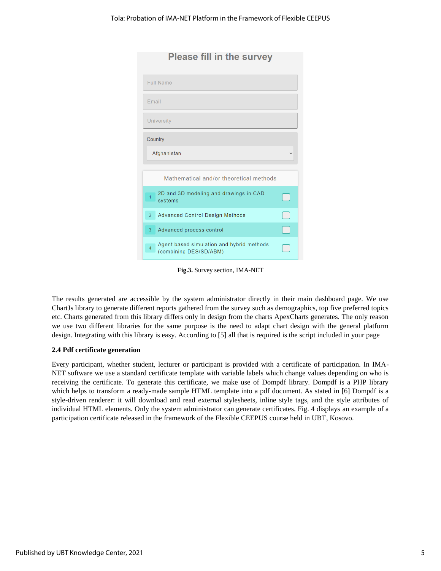| <b>Please fill in the survey</b>                                                      |  |
|---------------------------------------------------------------------------------------|--|
| <b>Full Name</b>                                                                      |  |
| Email                                                                                 |  |
| <b>University</b>                                                                     |  |
| Country                                                                               |  |
| Afghanistan                                                                           |  |
| Mathematical and/or theoretical methods                                               |  |
| 2D and 3D modeling and drawings in CAD<br>$\overline{1}$<br>systems                   |  |
| <b>Advanced Control Design Methods</b><br>$\overline{2}$                              |  |
| Advanced process control<br>3                                                         |  |
| Agent based simulation and hybrid methods<br>$\overline{4}$<br>(combining DES/SD/ABM) |  |

**Fig.3.** Survey section, IMA-NET

The results generated are accessible by the system administrator directly in their main dashboard page. We use ChartJs library to generate different reports gathered from the survey such as demographics, top five preferred topics etc. Charts generated from this library differs only in design from the charts ApexCharts generates. The only reason we use two different libraries for the same purpose is the need to adapt chart design with the general platform design. Integrating with this library is easy. According to [5] all that is required is the script included in your page

#### **2.4 Pdf certificate generation**

Every participant, whether student, lecturer or participant is provided with a certificate of participation. In IMA-NET software we use a standard certificate template with variable labels which change values depending on who is receiving the certificate. To generate this certificate, we make use of Dompdf library. Dompdf is a PHP library which helps to transform a ready-made sample HTML template into a pdf document. As stated in [6] Dompdf is a style-driven renderer: it will download and read external stylesheets, inline style tags, and the style attributes of individual HTML elements. Only the system administrator can generate certificates. Fig. 4 displays an example of a participation certificate released in the framework of the Flexible CEEPUS course held in UBT, Kosovo.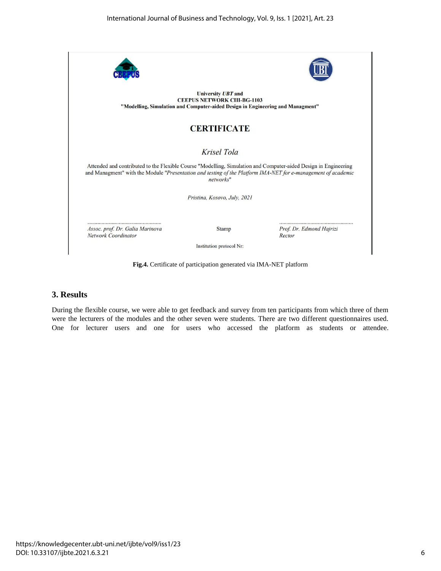

**Fig.4.** Certificate of participation generated via IMA-NET platform

## **3. Results**

During the flexible course, we were able to get feedback and survey from ten participants from which three of them were the lecturers of the modules and the other seven were students. There are two different questionnaires used. One for lecturer users and one for users who accessed the platform as students or attendee.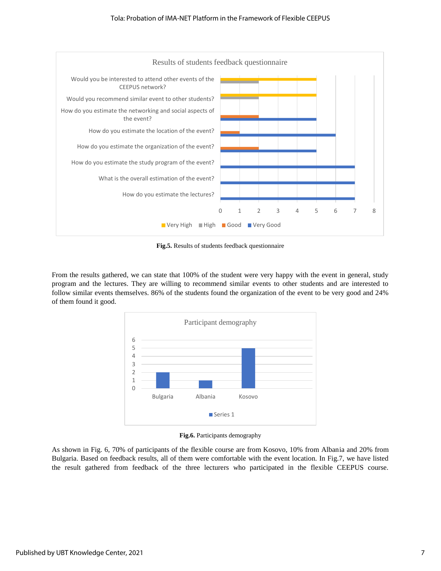

**Fig.5.** Results of students feedback questionnaire

From the results gathered, we can state that 100% of the student were very happy with the event in general, study program and the lectures. They are willing to recommend similar events to other students and are interested to follow similar events themselves. 86% of the students found the organization of the event to be very good and 24% of them found it good.



**Fig.6.** Participants demography

As shown in Fig. 6, 70% of participants of the flexible course are from Kosovo, 10% from Albania and 20% from Bulgaria. Based on feedback results, all of them were comfortable with the event location. In Fig.7, we have listed the result gathered from feedback of the three lecturers who participated in the flexible CEEPUS course.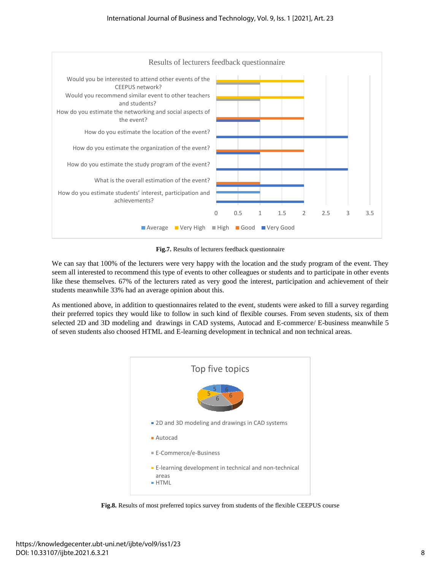

**Fig.7.** Results of lecturers feedback questionnaire

We can say that 100% of the lecturers were very happy with the location and the study program of the event. They seem all interested to recommend this type of events to other colleagues or students and to participate in other events like these themselves. 67% of the lecturers rated as very good the interest, participation and achievement of their students meanwhile 33% had an average opinion about this.

As mentioned above, in addition to questionnaires related to the event, students were asked to fill a survey regarding their preferred topics they would like to follow in such kind of flexible courses. From seven students, six of them selected 2D and 3D modeling and drawings in CAD systems, Autocad and E-commerce/ E-business meanwhile 5 of seven students also choosed HTML and E-learning development in technical and non technical areas.



**Fig.8.** Results of most preferred topics survey from students of the flexible CEEPUS course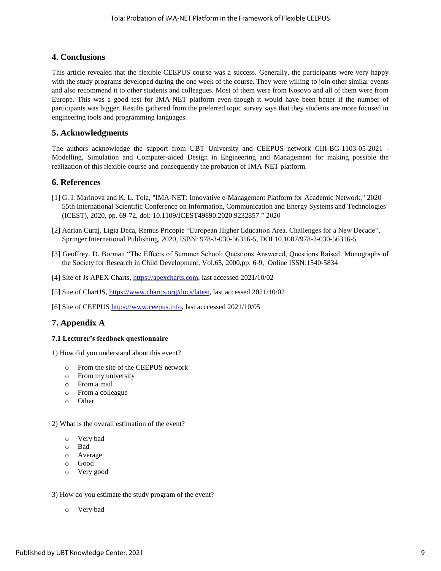## **4. Conclusions**

This article revealed that the flexible CEEPUS course was a success. Generally, the participants were very happy with the study programs developed during the one week of the course. They were willing to join other similar events and also recommend it to other students and colleagues. Most of them were from Kosovo and all of them were from Europe. This was a good test for IMA-NET platform even though it would have been better if the number of participants was bigger. Results gathered from the preferred topic survey says that they students are more focused in engineering tools and programming languages.

## **5. Acknowledgments**

The authors acknowledge the support from UBT University and CEEPUS network CIII-BG-1103-05-2021 - Modelling, Simulation and Computer-aided Design in Engineering and Management for making possible the realization of this flexible course and consequently the probation of IMA-NET platform.

#### **6. References**

- [1] G. I. Marinova and K. L. Tola, "IMA-NET: Innovative e-Management Platform for Academic Network," 2020 55th International Scientific Conference on Information, Communication and Energy Systems and Technologies (ICEST), 2020, pp. 69-72, doi: 10.1109/ICEST49890.2020.9232857." 2020
- [2] Adrian Curaj, Ligia Deca, Remus Pricopie "European Higher Education Area. Challenges for a New Decade", Springer International Publishing, 2020, ISBN: 978-3-030-56316-5, DOI 10.1007/978-3-030-56316-5
- [3] Geoffrey. D. Borman "The Effects of Summer School: Questions Answered, Questions Raised. Monographs of the Society for Research in Child Development, Vol.65, 2000,pp: 6-9, Online ISSN:1540-5834
- [4] Site of Js APEX Charts, [https://apexcharts.com,](https://apexcharts.com/) last accessed 2021/10/02
- [5] Site of ChartJS[, https://www.chartjs.org/docs/latest,](https://www.chartjs.org/docs/latest) last accessed 2021/10/02
- [6] Site of CEEPUS [https://www.ceepus.info,](https://www.ceepus.info/) last acccessed 2021/10/05

## **7. Appendix A**

#### **7.1 Lecturer's feedback questionnaire**

- 1) How did you understand about this event?
	- o From the site of the CEEPUS network
	- o From my university
	- o From a mail
	- o From a colleague
	- o Other

2) What is the overall estimation of the event?

- o Very bad
- o Bad
- o Average
- o Good
- o Very good

#### 3) How do you estimate the study program of the event?

o Very bad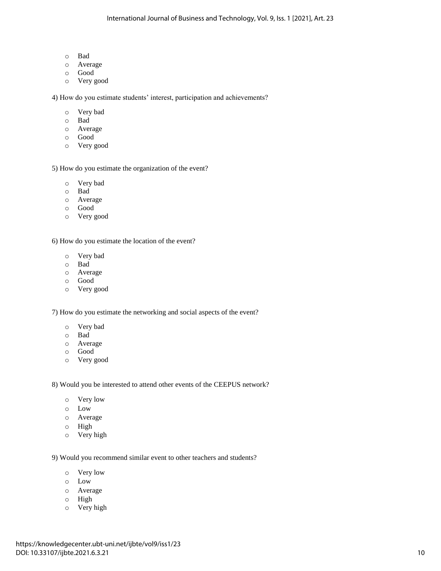- o Bad
- o Average
- o Good
- o Very good

4) How do you estimate students' interest, participation and achievements?

- o Very bad
- o Bad
- o Average
- o Good
- o Very good

5) How do you estimate the organization of the event?

- o Very bad
- o Bad
- o Average
- o Good
- o Very good

6) How do you estimate the location of the event?

- o Very bad
- o Bad
- o Average
- o Good
- o Very good

7) How do you estimate the networking and social aspects of the event?

- o Very bad
- o Bad
- o Average
- o Good
- o Very good

8) Would you be interested to attend other events of the CEEPUS network?

- o Very low
- o Low
- o Average
- o High
- o Very high

9) Would you recommend similar event to other teachers and students?

- o Very low
- o Low
- o Average
- o High
- o Very high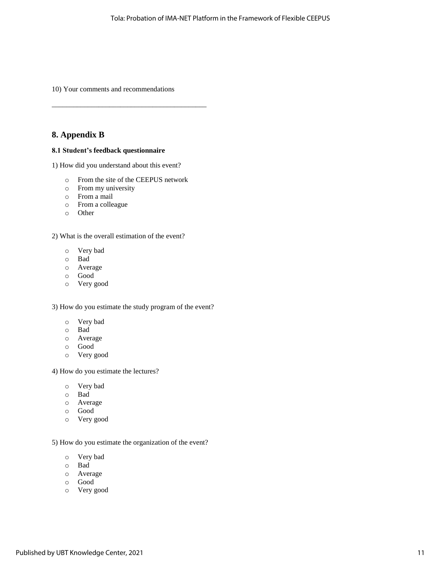10) Your comments and recommendations

## **8. Appendix B**

#### **8.1 Student's feedback questionnaire**

1) How did you understand about this event?

o From the site of the CEEPUS network

\_\_\_\_\_\_\_\_\_\_\_\_\_\_\_\_\_\_\_\_\_\_\_\_\_\_\_\_\_\_\_\_\_\_\_\_\_\_\_\_\_\_\_

- o From my university
- o From a mail
- o From a colleague
- o Other

2) What is the overall estimation of the event?

- o Very bad
- o Bad
- o Average
- o Good
- o Very good

3) How do you estimate the study program of the event?

- o Very bad
- o Bad
- o Average
- o Good
- o Very good

4) How do you estimate the lectures?

- o Very bad
- o Bad
- o Average
- o Good
- o Very good

5) How do you estimate the organization of the event?

- o Very bad
- o Bad
- o Average
- o Good
- o Very good